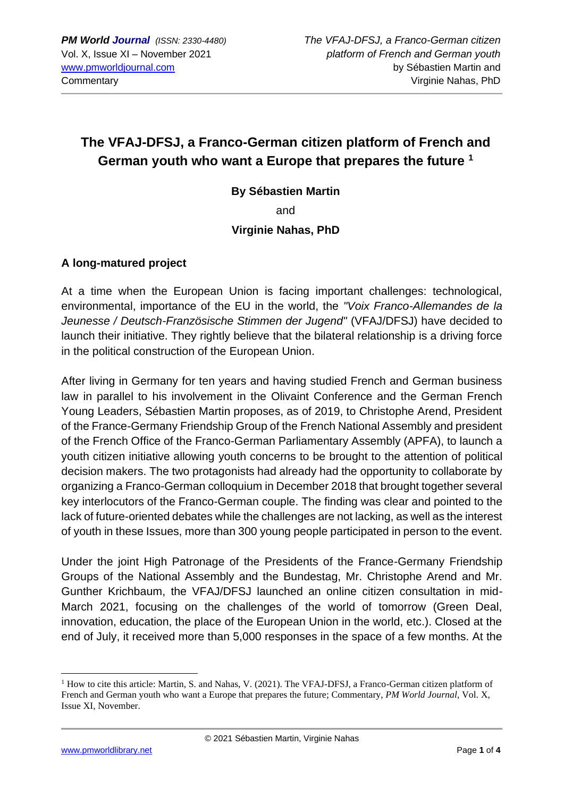# **The VFAJ-DFSJ, a Franco-German citizen platform of French and German youth who want a Europe that prepares the future <sup>1</sup>**

**By Sébastien Martin**

and

### **Virginie Nahas, PhD**

#### **A long-matured project**

At a time when the European Union is facing important challenges: technological, environmental, importance of the EU in the world, the *"Voix Franco-Allemandes de la Jeunesse / Deutsch-Französische Stimmen der Jugend"* (VFAJ/DFSJ) have decided to launch their initiative. They rightly believe that the bilateral relationship is a driving force in the political construction of the European Union.

After living in Germany for ten years and having studied French and German business law in parallel to his involvement in the Olivaint Conference and the German French Young Leaders, Sébastien Martin proposes, as of 2019, to Christophe Arend, President of the France-Germany Friendship Group of the French National Assembly and president of the French Office of the Franco-German Parliamentary Assembly (APFA), to launch a youth citizen initiative allowing youth concerns to be brought to the attention of political decision makers. The two protagonists had already had the opportunity to collaborate by organizing a Franco-German colloquium in December 2018 that brought together several key interlocutors of the Franco-German couple. The finding was clear and pointed to the lack of future-oriented debates while the challenges are not lacking, as well as the interest of youth in these Issues, more than 300 young people participated in person to the event.

Under the joint High Patronage of the Presidents of the France-Germany Friendship Groups of the National Assembly and the Bundestag, Mr. Christophe Arend and Mr. Gunther Krichbaum, the VFAJ/DFSJ launched an online citizen consultation in mid-March 2021, focusing on the challenges of the world of tomorrow (Green Deal, innovation, education, the place of the European Union in the world, etc.). Closed at the end of July, it received more than 5,000 responses in the space of a few months. At the

<sup>&</sup>lt;sup>1</sup> How to cite this article: Martin, S. and Nahas, V. (2021). The VFAJ-DFSJ, a Franco-German citizen platform of French and German youth who want a Europe that prepares the future; Commentary, *PM World Journal*, Vol. X, Issue XI, November.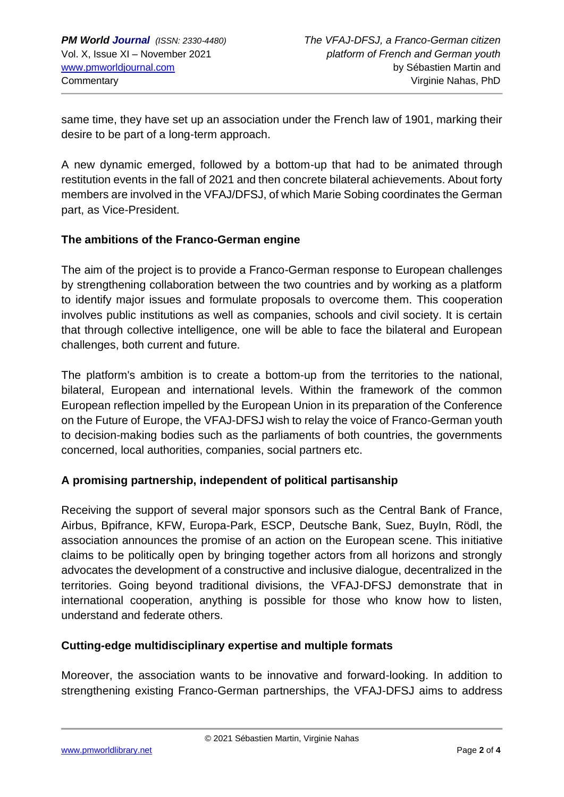same time, they have set up an association under the French law of 1901, marking their desire to be part of a long-term approach.

A new dynamic emerged, followed by a bottom-up that had to be animated through restitution events in the fall of 2021 and then concrete bilateral achievements. About forty members are involved in the VFAJ/DFSJ, of which Marie Sobing coordinates the German part, as Vice-President.

### **The ambitions of the Franco-German engine**

The aim of the project is to provide a Franco-German response to European challenges by strengthening collaboration between the two countries and by working as a platform to identify major issues and formulate proposals to overcome them. This cooperation involves public institutions as well as companies, schools and civil society. It is certain that through collective intelligence, one will be able to face the bilateral and European challenges, both current and future.

The platform's ambition is to create a bottom-up from the territories to the national, bilateral, European and international levels. Within the framework of the common European reflection impelled by the European Union in its preparation of the Conference on the Future of Europe, the VFAJ-DFSJ wish to relay the voice of Franco-German youth to decision-making bodies such as the parliaments of both countries, the governments concerned, local authorities, companies, social partners etc.

## **A promising partnership, independent of political partisanship**

Receiving the support of several major sponsors such as the Central Bank of France, Airbus, Bpifrance, KFW, Europa-Park, ESCP, Deutsche Bank, Suez, BuyIn, Rödl, the association announces the promise of an action on the European scene. This initiative claims to be politically open by bringing together actors from all horizons and strongly advocates the development of a constructive and inclusive dialogue, decentralized in the territories. Going beyond traditional divisions, the VFAJ-DFSJ demonstrate that in international cooperation, anything is possible for those who know how to listen, understand and federate others.

## **Cutting-edge multidisciplinary expertise and multiple formats**

Moreover, the association wants to be innovative and forward-looking. In addition to strengthening existing Franco-German partnerships, the VFAJ-DFSJ aims to address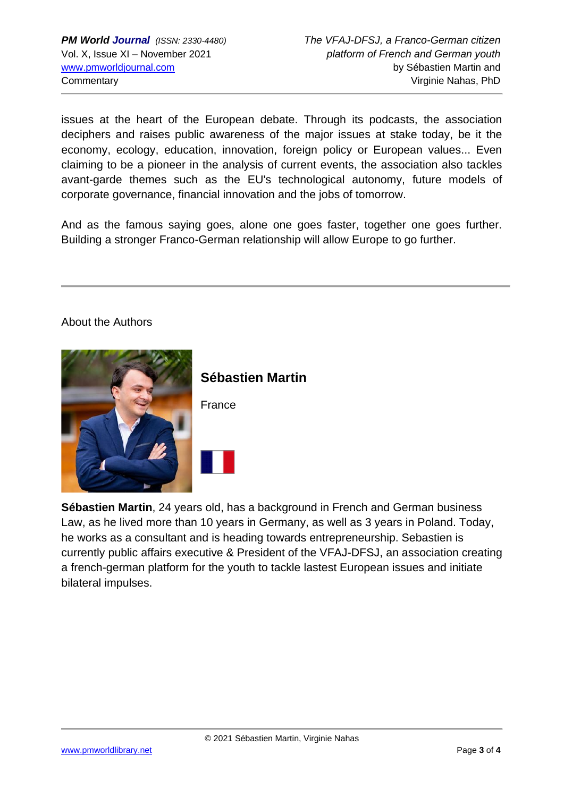issues at the heart of the European debate. Through its podcasts, the association deciphers and raises public awareness of the major issues at stake today, be it the economy, ecology, education, innovation, foreign policy or European values... Even claiming to be a pioneer in the analysis of current events, the association also tackles avant-garde themes such as the EU's technological autonomy, future models of corporate governance, financial innovation and the jobs of tomorrow.

And as the famous saying goes, alone one goes faster, together one goes further. Building a stronger Franco-German relationship will allow Europe to go further.

#### About the Authors



**Sébastien Martin**

France

**Sébastien Martin**, 24 years old, has a background in French and German business Law, as he lived more than 10 years in Germany, as well as 3 years in Poland. Today, he works as a consultant and is heading towards entrepreneurship. Sebastien is currently public affairs executive & President of the VFAJ-DFSJ, an association creating a french-german platform for the youth to tackle lastest European issues and initiate bilateral impulses.